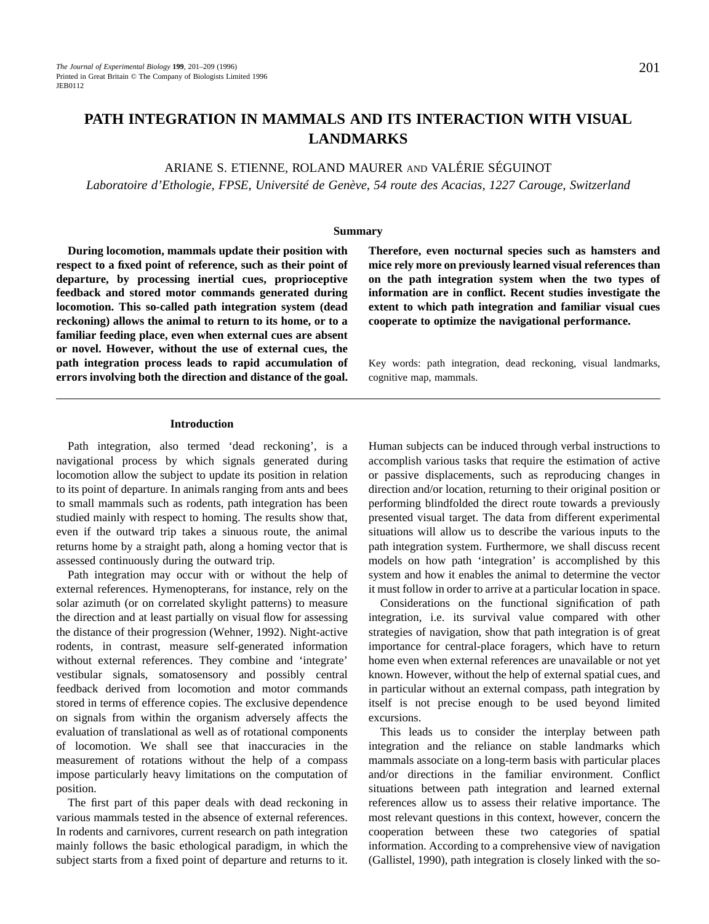# **PATH INTEGRATION IN MAMMALS AND ITS INTERACTION WITH VISUAL LANDMARKS**

ARIANE S. ETIENNE, ROLAND MAURER AND VALÉRIE SÉGUINOT

*Laboratoire d'Ethologie, FPSE, Université de Genève, 54 route des Acacias, 1227 Carouge, Switzerland*

### **Summary**

**During locomotion, mammals update their position with respect to a fixed point of reference, such as their point of departure, by processing inertial cues, proprioceptive feedback and stored motor commands generated during locomotion. This so-called path integration system (dead reckoning) allows the animal to return to its home, or to a familiar feeding place, even when external cues are absent or novel. However, without the use of external cues, the path integration process leads to rapid accumulation of errors involving both the direction and distance of the goal.** **Therefore, even nocturnal species such as hamsters and mice rely more on previously learned visual references than on the path integration system when the two types of information are in conflict. Recent studies investigate the extent to which path integration and familiar visual cues cooperate to optimize the navigational performance.**

Key words: path integration, dead reckoning, visual landmarks, cognitive map, mammals.

# **Introduction**

Path integration, also termed 'dead reckoning', is a navigational process by which signals generated during locomotion allow the subject to update its position in relation to its point of departure. In animals ranging from ants and bees to small mammals such as rodents, path integration has been studied mainly with respect to homing. The results show that, even if the outward trip takes a sinuous route, the animal returns home by a straight path, along a homing vector that is assessed continuously during the outward trip.

Path integration may occur with or without the help of external references. Hymenopterans, for instance, rely on the solar azimuth (or on correlated skylight patterns) to measure the direction and at least partially on visual flow for assessing the distance of their progression (Wehner, 1992). Night-active rodents, in contrast, measure self-generated information without external references. They combine and 'integrate' vestibular signals, somatosensory and possibly central feedback derived from locomotion and motor commands stored in terms of efference copies. The exclusive dependence on signals from within the organism adversely affects the evaluation of translational as well as of rotational components of locomotion. We shall see that inaccuracies in the measurement of rotations without the help of a compass impose particularly heavy limitations on the computation of position.

The first part of this paper deals with dead reckoning in various mammals tested in the absence of external references. In rodents and carnivores, current research on path integration mainly follows the basic ethological paradigm, in which the subject starts from a fixed point of departure and returns to it.

Human subjects can be induced through verbal instructions to accomplish various tasks that require the estimation of active or passive displacements, such as reproducing changes in direction and/or location, returning to their original position or performing blindfolded the direct route towards a previously presented visual target. The data from different experimental situations will allow us to describe the various inputs to the path integration system. Furthermore, we shall discuss recent models on how path 'integration' is accomplished by this system and how it enables the animal to determine the vector it must follow in order to arrive at a particular location in space.

Considerations on the functional signification of path integration, i.e. its survival value compared with other strategies of navigation, show that path integration is of great importance for central-place foragers, which have to return home even when external references are unavailable or not yet known. However, without the help of external spatial cues, and in particular without an external compass, path integration by itself is not precise enough to be used beyond limited excursions.

This leads us to consider the interplay between path integration and the reliance on stable landmarks which mammals associate on a long-term basis with particular places and/or directions in the familiar environment. Conflict situations between path integration and learned external references allow us to assess their relative importance. The most relevant questions in this context, however, concern the cooperation between these two categories of spatial information. According to a comprehensive view of navigation (Gallistel, 1990), path integration is closely linked with the so-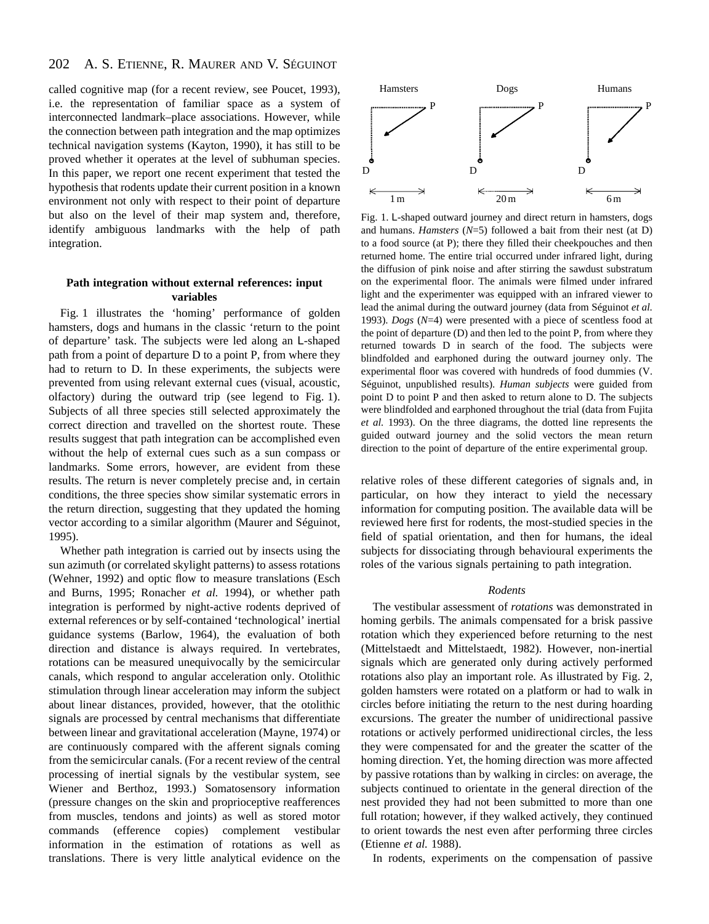#### 202 A. S. ETIENNE, R. MAURER AND V. SÉGUINOT

called cognitive map (for a recent review, see Poucet, 1993), i.e. the representation of familiar space as a system of interconnected landmark–place associations. However, while the connection between path integration and the map optimizes technical navigation systems (Kayton, 1990), it has still to be proved whether it operates at the level of subhuman species. In this paper, we report one recent experiment that tested the hypothesis that rodents update their current position in a known environment not only with respect to their point of departure but also on the level of their map system and, therefore, identify ambiguous landmarks with the help of path integration.

# **Path integration without external references: input variables**

Fig. 1 illustrates the 'homing' performance of golden hamsters, dogs and humans in the classic 'return to the point of departure' task. The subjects were led along an L-shaped path from a point of departure D to a point P, from where they had to return to D. In these experiments, the subjects were prevented from using relevant external cues (visual, acoustic, olfactory) during the outward trip (see legend to Fig. 1). Subjects of all three species still selected approximately the correct direction and travelled on the shortest route. These results suggest that path integration can be accomplished even without the help of external cues such as a sun compass or landmarks. Some errors, however, are evident from these results. The return is never completely precise and, in certain conditions, the three species show similar systematic errors in the return direction, suggesting that they updated the homing vector according to a similar algorithm (Maurer and Séguinot, 1995).

Whether path integration is carried out by insects using the sun azimuth (or correlated skylight patterns) to assess rotations (Wehner, 1992) and optic flow to measure translations (Esch and Burns, 1995; Ronacher *et al.* 1994), or whether path integration is performed by night-active rodents deprived of external references or by self-contained 'technological' inertial guidance systems (Barlow, 1964), the evaluation of both direction and distance is always required. In vertebrates, rotations can be measured unequivocally by the semicircular canals, which respond to angular acceleration only. Otolithic stimulation through linear acceleration may inform the subject about linear distances, provided, however, that the otolithic signals are processed by central mechanisms that differentiate between linear and gravitational acceleration (Mayne, 1974) or are continuously compared with the afferent signals coming from the semicircular canals. (For a recent review of the central processing of inertial signals by the vestibular system, see Wiener and Berthoz, 1993.) Somatosensory information (pressure changes on the skin and proprioceptive reafferences from muscles, tendons and joints) as well as stored motor commands (efference copies) complement vestibular information in the estimation of rotations as well as translations. There is very little analytical evidence on the



Fig. 1. L-shaped outward journey and direct return in hamsters, dogs and humans. *Hamsters* (*N*=5) followed a bait from their nest (at D) to a food source (at P); there they filled their cheekpouches and then returned home. The entire trial occurred under infrared light, during the diffusion of pink noise and after stirring the sawdust substratum on the experimental floor. The animals were filmed under infrared light and the experimenter was equipped with an infrared viewer to lead the animal during the outward journey (data from Séguinot *et al.* 1993). *Dogs* (*N*=4) were presented with a piece of scentless food at the point of departure (D) and then led to the point P, from where they returned towards D in search of the food. The subjects were blindfolded and earphoned during the outward journey only. The experimental floor was covered with hundreds of food dummies (V. Séguinot, unpublished results). *Human subjects* were guided from point D to point P and then asked to return alone to D. The subjects were blindfolded and earphoned throughout the trial (data from Fujita *et al.* 1993). On the three diagrams, the dotted line represents the guided outward journey and the solid vectors the mean return direction to the point of departure of the entire experimental group.

relative roles of these different categories of signals and, in particular, on how they interact to yield the necessary information for computing position. The available data will be reviewed here first for rodents, the most-studied species in the field of spatial orientation, and then for humans, the ideal subjects for dissociating through behavioural experiments the roles of the various signals pertaining to path integration.

# *Rodents*

The vestibular assessment of *rotations* was demonstrated in homing gerbils. The animals compensated for a brisk passive rotation which they experienced before returning to the nest (Mittelstaedt and Mittelstaedt, 1982). However, non-inertial signals which are generated only during actively performed rotations also play an important role. As illustrated by Fig. 2, golden hamsters were rotated on a platform or had to walk in circles before initiating the return to the nest during hoarding excursions. The greater the number of unidirectional passive rotations or actively performed unidirectional circles, the less they were compensated for and the greater the scatter of the homing direction. Yet, the homing direction was more affected by passive rotations than by walking in circles: on average, the subjects continued to orientate in the general direction of the nest provided they had not been submitted to more than one full rotation; however, if they walked actively, they continued to orient towards the nest even after performing three circles (Etienne *et al.* 1988).

In rodents, experiments on the compensation of passive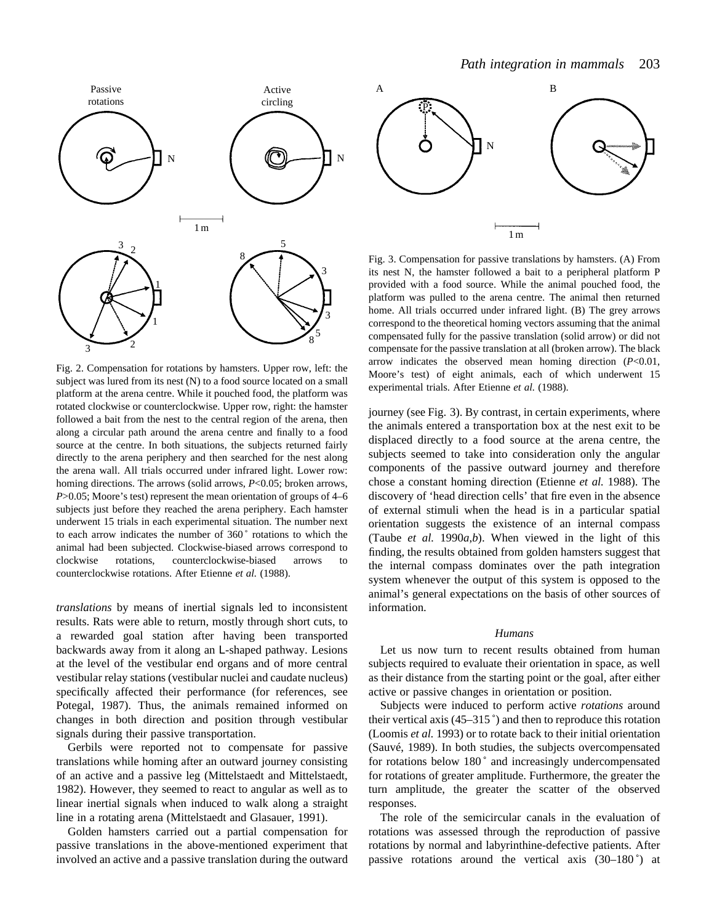

Fig. 2. Compensation for rotations by hamsters. Upper row, left: the subject was lured from its nest (N) to a food source located on a small platform at the arena centre. While it pouched food, the platform was rotated clockwise or counterclockwise. Upper row, right: the hamster followed a bait from the nest to the central region of the arena, then along a circular path around the arena centre and finally to a food source at the centre. In both situations, the subjects returned fairly directly to the arena periphery and then searched for the nest along the arena wall. All trials occurred under infrared light. Lower row: homing directions. The arrows (solid arrows, *P*<0.05; broken arrows, *P*>0.05; Moore's test) represent the mean orientation of groups of 4–6 subjects just before they reached the arena periphery. Each hamster underwent 15 trials in each experimental situation. The number next to each arrow indicates the number of 360 ˚ rotations to which the animal had been subjected. Clockwise-biased arrows correspond to clockwise rotations, counterclockwise-biased arrows to counterclockwise rotations. After Etienne *et al.* (1988).

*translations* by means of inertial signals led to inconsistent results. Rats were able to return, mostly through short cuts, to a rewarded goal station after having been transported backwards away from it along an L-shaped pathway. Lesions at the level of the vestibular end organs and of more central vestibular relay stations (vestibular nuclei and caudate nucleus) specifically affected their performance (for references, see Potegal, 1987). Thus, the animals remained informed on changes in both direction and position through vestibular signals during their passive transportation.

Gerbils were reported not to compensate for passive translations while homing after an outward journey consisting of an active and a passive leg (Mittelstaedt and Mittelstaedt, 1982). However, they seemed to react to angular as well as to linear inertial signals when induced to walk along a straight line in a rotating arena (Mittelstaedt and Glasauer, 1991).

Golden hamsters carried out a partial compensation for passive translations in the above-mentioned experiment that involved an active and a passive translation during the outward



Fig. 3. Compensation for passive translations by hamsters. (A) From its nest N, the hamster followed a bait to a peripheral platform P provided with a food source. While the animal pouched food, the platform was pulled to the arena centre. The animal then returned home. All trials occurred under infrared light. (B) The grey arrows correspond to the theoretical homing vectors assuming that the animal compensated fully for the passive translation (solid arrow) or did not compensate for the passive translation at all (broken arrow). The black arrow indicates the observed mean homing direction (*P*<0.01, Moore's test) of eight animals, each of which underwent 15 experimental trials. After Etienne *et al.* (1988).

journey (see Fig. 3). By contrast, in certain experiments, where the animals entered a transportation box at the nest exit to be displaced directly to a food source at the arena centre, the subjects seemed to take into consideration only the angular components of the passive outward journey and therefore chose a constant homing direction (Etienne *et al.* 1988). The discovery of 'head direction cells' that fire even in the absence of external stimuli when the head is in a particular spatial orientation suggests the existence of an internal compass (Taube *et al.* 1990*a*,*b*). When viewed in the light of this finding, the results obtained from golden hamsters suggest that the internal compass dominates over the path integration system whenever the output of this system is opposed to the animal's general expectations on the basis of other sources of information.

### *Humans*

Let us now turn to recent results obtained from human subjects required to evaluate their orientation in space, as well as their distance from the starting point or the goal, after either active or passive changes in orientation or position.

Subjects were induced to perform active *rotations* around their vertical axis  $(45-315)$  and then to reproduce this rotation (Loomis *et al.* 1993) or to rotate back to their initial orientation (Sauvé, 1989). In both studies, the subjects overcompensated for rotations below 180° and increasingly undercompensated for rotations of greater amplitude. Furthermore, the greater the turn amplitude, the greater the scatter of the observed responses.

The role of the semicircular canals in the evaluation of rotations was assessed through the reproduction of passive rotations by normal and labyrinthine-defective patients. After passive rotations around the vertical axis  $(30-180^{\circ})$  at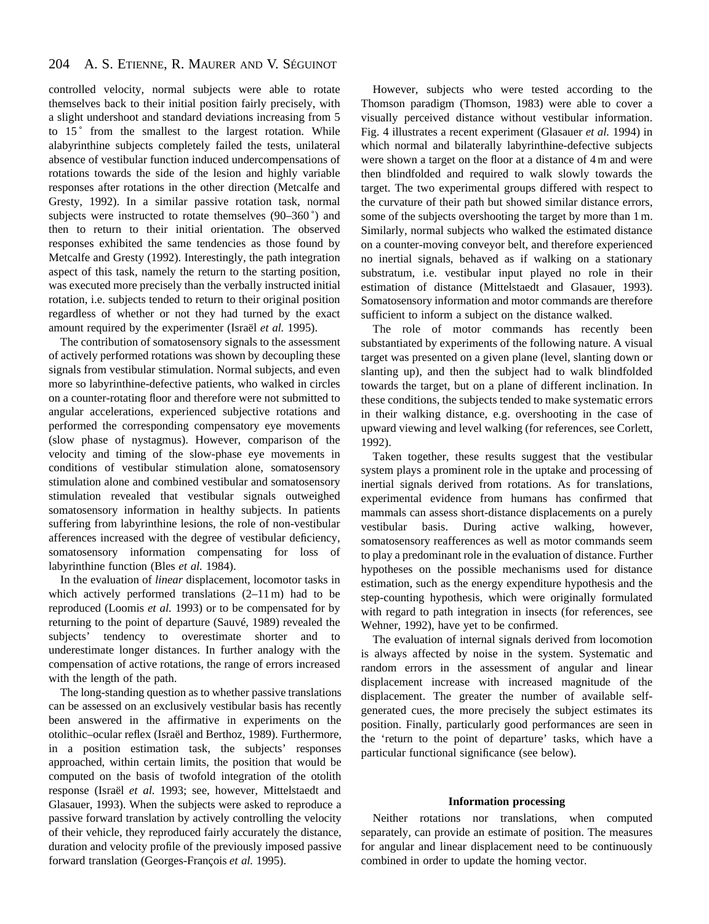#### 204 A. S. ETIENNE, R. MAURER AND V. SÉGUINOT

controlled velocity, normal subjects were able to rotate themselves back to their initial position fairly precisely, with a slight undershoot and standard deviations increasing from 5 to  $15^\circ$  from the smallest to the largest rotation. While alabyrinthine subjects completely failed the tests, unilateral absence of vestibular function induced undercompensations of rotations towards the side of the lesion and highly variable responses after rotations in the other direction (Metcalfe and Gresty, 1992). In a similar passive rotation task, normal subjects were instructed to rotate themselves (90–360 ˚) and then to return to their initial orientation. The observed responses exhibited the same tendencies as those found by Metcalfe and Gresty (1992). Interestingly, the path integration aspect of this task, namely the return to the starting position, was executed more precisely than the verbally instructed initial rotation, i.e. subjects tended to return to their original position regardless of whether or not they had turned by the exact amount required by the experimenter (Israël *et al.* 1995).

The contribution of somatosensory signals to the assessment of actively performed rotations was shown by decoupling these signals from vestibular stimulation. Normal subjects, and even more so labyrinthine-defective patients, who walked in circles on a counter-rotating floor and therefore were not submitted to angular accelerations, experienced subjective rotations and performed the corresponding compensatory eye movements (slow phase of nystagmus). However, comparison of the velocity and timing of the slow-phase eye movements in conditions of vestibular stimulation alone, somatosensory stimulation alone and combined vestibular and somatosensory stimulation revealed that vestibular signals outweighed somatosensory information in healthy subjects. In patients suffering from labyrinthine lesions, the role of non-vestibular afferences increased with the degree of vestibular deficiency, somatosensory information compensating for loss of labyrinthine function (Bles *et al.* 1984).

In the evaluation of *linear* displacement, locomotor tasks in which actively performed translations  $(2-11 \text{ m})$  had to be reproduced (Loomis *et al.* 1993) or to be compensated for by returning to the point of departure (Sauvé, 1989) revealed the subjects' tendency to overestimate shorter and to underestimate longer distances. In further analogy with the compensation of active rotations, the range of errors increased with the length of the path.

The long-standing question as to whether passive translations can be assessed on an exclusively vestibular basis has recently been answered in the affirmative in experiments on the otolithic–ocular reflex (Israël and Berthoz, 1989). Furthermore, in a position estimation task, the subjects' responses approached, within certain limits, the position that would be computed on the basis of twofold integration of the otolith response (Israël *et al.* 1993; see, however, Mittelstaedt and Glasauer, 1993). When the subjects were asked to reproduce a passive forward translation by actively controlling the velocity of their vehicle, they reproduced fairly accurately the distance, duration and velocity profile of the previously imposed passive forward translation (Georges-François *et al.* 1995).

However, subjects who were tested according to the Thomson paradigm (Thomson, 1983) were able to cover a visually perceived distance without vestibular information. Fig. 4 illustrates a recent experiment (Glasauer *et al.* 1994) in which normal and bilaterally labyrinthine-defective subjects were shown a target on the floor at a distance of 4 m and were then blindfolded and required to walk slowly towards the target. The two experimental groups differed with respect to the curvature of their path but showed similar distance errors, some of the subjects overshooting the target by more than 1 m. Similarly, normal subjects who walked the estimated distance on a counter-moving conveyor belt, and therefore experienced no inertial signals, behaved as if walking on a stationary substratum, i.e. vestibular input played no role in their estimation of distance (Mittelstaedt and Glasauer, 1993). Somatosensory information and motor commands are therefore sufficient to inform a subject on the distance walked.

The role of motor commands has recently been substantiated by experiments of the following nature. A visual target was presented on a given plane (level, slanting down or slanting up), and then the subject had to walk blindfolded towards the target, but on a plane of different inclination. In these conditions, the subjects tended to make systematic errors in their walking distance, e.g. overshooting in the case of upward viewing and level walking (for references, see Corlett, 1992).

Taken together, these results suggest that the vestibular system plays a prominent role in the uptake and processing of inertial signals derived from rotations. As for translations, experimental evidence from humans has confirmed that mammals can assess short-distance displacements on a purely vestibular basis. During active walking, however, somatosensory reafferences as well as motor commands seem to play a predominant role in the evaluation of distance. Further hypotheses on the possible mechanisms used for distance estimation, such as the energy expenditure hypothesis and the step-counting hypothesis, which were originally formulated with regard to path integration in insects (for references, see Wehner, 1992), have yet to be confirmed.

The evaluation of internal signals derived from locomotion is always affected by noise in the system. Systematic and random errors in the assessment of angular and linear displacement increase with increased magnitude of the displacement. The greater the number of available selfgenerated cues, the more precisely the subject estimates its position. Finally, particularly good performances are seen in the 'return to the point of departure' tasks, which have a particular functional significance (see below).

# **Information processing**

Neither rotations nor translations, when computed separately, can provide an estimate of position. The measures for angular and linear displacement need to be continuously combined in order to update the homing vector.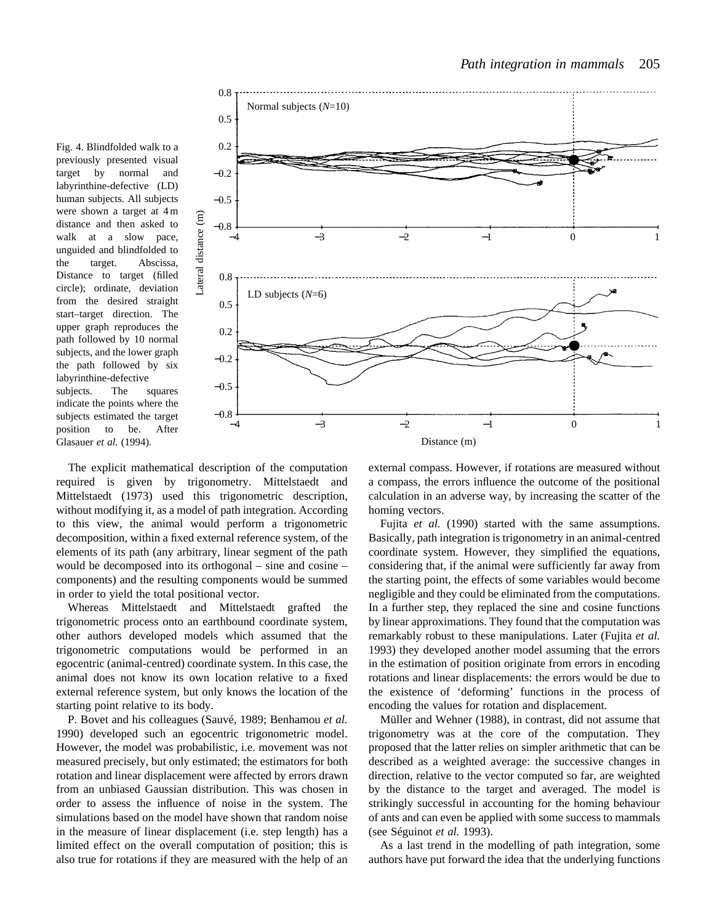Fig. 4. Blindfolded walk to a previously presented visual target by normal and labyrinthine-defective (LD) human subjects. All subjects were shown a target at 4 m distance and then asked to walk at a slow pace, unguided and blindfolded to the target. Abscissa, Distance to target (filled circle); ordinate, deviation from the desired straight start–target direction. The upper graph reproduces the path followed by 10 normal subjects, and the lower graph the path followed by six labyrinthine-defective subjects. The squares indicate the points where the subjects estimated the target position to be. After Glasauer *et al.* (1994).



The explicit mathematical description of the computation required is given by trigonometry. Mittelstaedt and Mittelstaedt (1973) used this trigonometric description, without modifying it, as a model of path integration. According to this view, the animal would perform a trigonometric decomposition, within a fixed external reference system, of the elements of its path (any arbitrary, linear segment of the path would be decomposed into its orthogonal – sine and cosine – components) and the resulting components would be summed in order to yield the total positional vector.

Whereas Mittelstaedt and Mittelstaedt grafted the trigonometric process onto an earthbound coordinate system, other authors developed models which assumed that the trigonometric computations would be performed in an egocentric (animal-centred) coordinate system. In this case, the animal does not know its own location relative to a fixed external reference system, but only knows the location of the starting point relative to its body.

P. Bovet and his colleagues (Sauvé, 1989; Benhamou *et al.* 1990) developed such an egocentric trigonometric model. However, the model was probabilistic, i.e. movement was not measured precisely, but only estimated; the estimators for both rotation and linear displacement were affected by errors drawn from an unbiased Gaussian distribution. This was chosen in order to assess the influence of noise in the system. The simulations based on the model have shown that random noise in the measure of linear displacement (i.e. step length) has a limited effect on the overall computation of position; this is also true for rotations if they are measured with the help of an

external compass. However, if rotations are measured without a compass, the errors influence the outcome of the positional calculation in an adverse way, by increasing the scatter of the homing vectors.

Fujita *et al.* (1990) started with the same assumptions. Basically, path integration is trigonometry in an animal-centred coordinate system. However, they simplified the equations, considering that, if the animal were sufficiently far away from the starting point, the effects of some variables would become negligible and they could be eliminated from the computations. In a further step, they replaced the sine and cosine functions by linear approximations. They found that the computation was remarkably robust to these manipulations. Later (Fujita *et al.* 1993) they developed another model assuming that the errors in the estimation of position originate from errors in encoding rotations and linear displacements: the errors would be due to the existence of 'deforming' functions in the process of encoding the values for rotation and displacement.

Müller and Wehner (1988), in contrast, did not assume that trigonometry was at the core of the computation. They proposed that the latter relies on simpler arithmetic that can be described as a weighted average: the successive changes in direction, relative to the vector computed so far, are weighted by the distance to the target and averaged. The model is strikingly successful in accounting for the homing behaviour of ants and can even be applied with some success to mammals (see Séguinot *et al.* 1993).

As a last trend in the modelling of path integration, some authors have put forward the idea that the underlying functions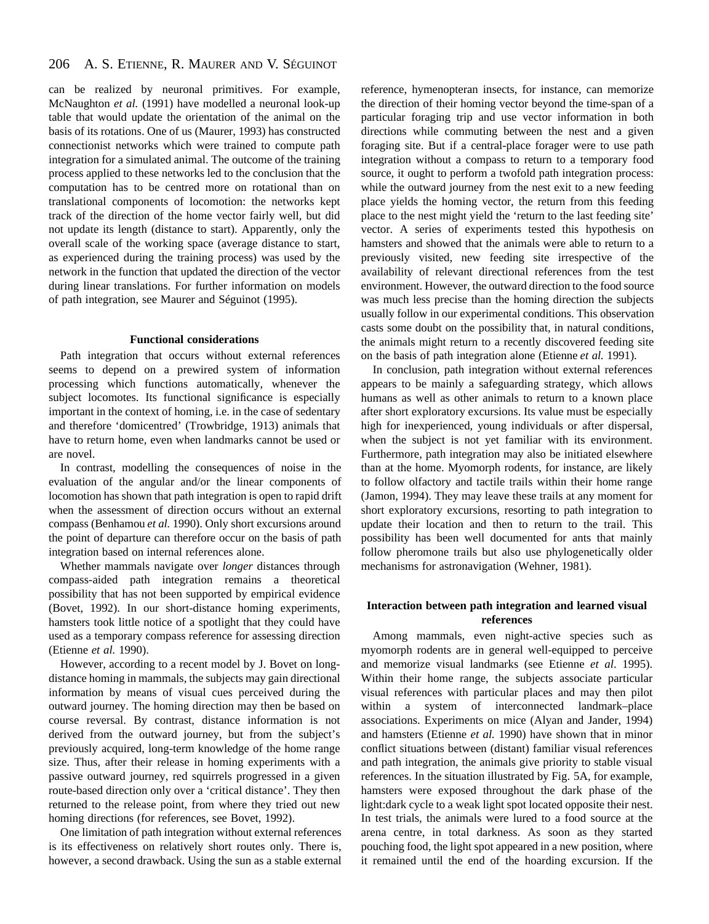#### 206 A. S. ETIENNE, R. MAURER AND V. SÉGUINOT

can be realized by neuronal primitives. For example, McNaughton *et al.* (1991) have modelled a neuronal look-up table that would update the orientation of the animal on the basis of its rotations. One of us (Maurer, 1993) has constructed connectionist networks which were trained to compute path integration for a simulated animal. The outcome of the training process applied to these networks led to the conclusion that the computation has to be centred more on rotational than on translational components of locomotion: the networks kept track of the direction of the home vector fairly well, but did not update its length (distance to start). Apparently, only the overall scale of the working space (average distance to start, as experienced during the training process) was used by the network in the function that updated the direction of the vector during linear translations. For further information on models of path integration, see Maurer and Séguinot (1995).

# **Functional considerations**

Path integration that occurs without external references seems to depend on a prewired system of information processing which functions automatically, whenever the subject locomotes. Its functional significance is especially important in the context of homing, i.e. in the case of sedentary and therefore 'domicentred' (Trowbridge, 1913) animals that have to return home, even when landmarks cannot be used or are novel.

In contrast, modelling the consequences of noise in the evaluation of the angular and/or the linear components of locomotion has shown that path integration is open to rapid drift when the assessment of direction occurs without an external compass (Benhamou *et al.* 1990). Only short excursions around the point of departure can therefore occur on the basis of path integration based on internal references alone.

Whether mammals navigate over *longer* distances through compass-aided path integration remains a theoretical possibility that has not been supported by empirical evidence (Bovet, 1992). In our short-distance homing experiments, hamsters took little notice of a spotlight that they could have used as a temporary compass reference for assessing direction (Etienne *et al.* 1990).

However, according to a recent model by J. Bovet on longdistance homing in mammals, the subjects may gain directional information by means of visual cues perceived during the outward journey. The homing direction may then be based on course reversal. By contrast, distance information is not derived from the outward journey, but from the subject's previously acquired, long-term knowledge of the home range size. Thus, after their release in homing experiments with a passive outward journey, red squirrels progressed in a given route-based direction only over a 'critical distance'. They then returned to the release point, from where they tried out new homing directions (for references, see Bovet, 1992).

One limitation of path integration without external references is its effectiveness on relatively short routes only. There is, however, a second drawback. Using the sun as a stable external reference, hymenopteran insects, for instance, can memorize the direction of their homing vector beyond the time-span of a particular foraging trip and use vector information in both directions while commuting between the nest and a given foraging site. But if a central-place forager were to use path integration without a compass to return to a temporary food source, it ought to perform a twofold path integration process: while the outward journey from the nest exit to a new feeding place yields the homing vector, the return from this feeding place to the nest might yield the 'return to the last feeding site' vector. A series of experiments tested this hypothesis on hamsters and showed that the animals were able to return to a previously visited, new feeding site irrespective of the availability of relevant directional references from the test environment. However, the outward direction to the food source was much less precise than the homing direction the subjects usually follow in our experimental conditions. This observation casts some doubt on the possibility that, in natural conditions, the animals might return to a recently discovered feeding site on the basis of path integration alone (Etienne *et al.* 1991).

In conclusion, path integration without external references appears to be mainly a safeguarding strategy, which allows humans as well as other animals to return to a known place after short exploratory excursions. Its value must be especially high for inexperienced, young individuals or after dispersal, when the subject is not yet familiar with its environment. Furthermore, path integration may also be initiated elsewhere than at the home. Myomorph rodents, for instance, are likely to follow olfactory and tactile trails within their home range (Jamon, 1994). They may leave these trails at any moment for short exploratory excursions, resorting to path integration to update their location and then to return to the trail. This possibility has been well documented for ants that mainly follow pheromone trails but also use phylogenetically older mechanisms for astronavigation (Wehner, 1981).

# **Interaction between path integration and learned visual references**

Among mammals, even night-active species such as myomorph rodents are in general well-equipped to perceive and memorize visual landmarks (see Etienne *et al*. 1995). Within their home range, the subjects associate particular visual references with particular places and may then pilot within a system of interconnected landmark–place associations. Experiments on mice (Alyan and Jander, 1994) and hamsters (Etienne *et al.* 1990) have shown that in minor conflict situations between (distant) familiar visual references and path integration, the animals give priority to stable visual references. In the situation illustrated by Fig. 5A, for example, hamsters were exposed throughout the dark phase of the light:dark cycle to a weak light spot located opposite their nest. In test trials, the animals were lured to a food source at the arena centre, in total darkness. As soon as they started pouching food, the light spot appeared in a new position, where it remained until the end of the hoarding excursion. If the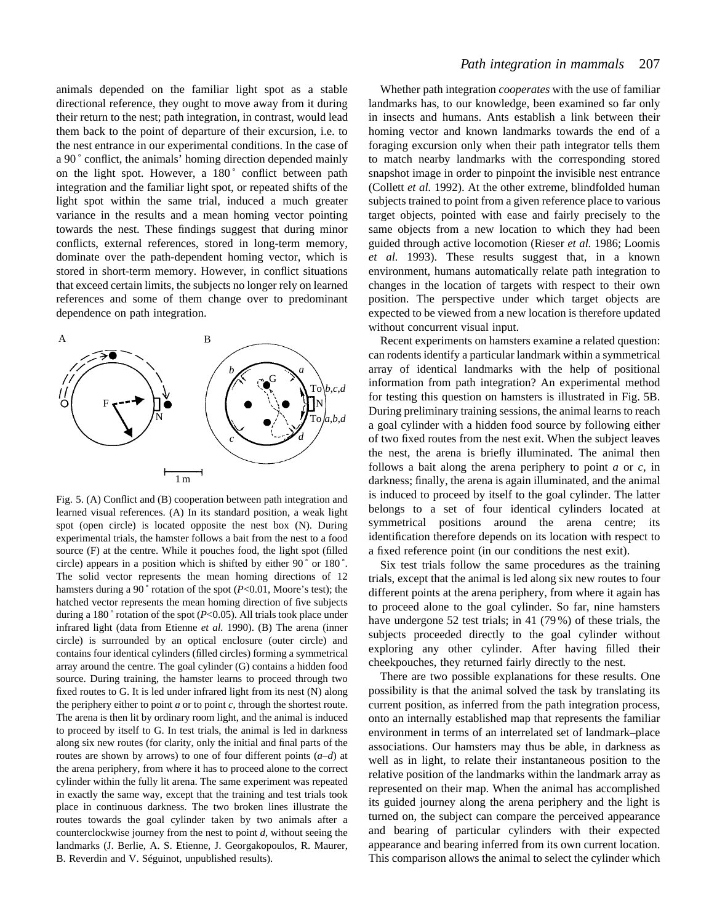animals depended on the familiar light spot as a stable directional reference, they ought to move away from it during their return to the nest; path integration, in contrast, would lead them back to the point of departure of their excursion, i.e. to the nest entrance in our experimental conditions. In the case of a 90 ˚ conflict, the animals' homing direction depended mainly on the light spot. However, a 180° conflict between path integration and the familiar light spot, or repeated shifts of the light spot within the same trial, induced a much greater variance in the results and a mean homing vector pointing towards the nest. These findings suggest that during minor conflicts, external references, stored in long-term memory, dominate over the path-dependent homing vector, which is stored in short-term memory. However, in conflict situations that exceed certain limits, the subjects no longer rely on learned references and some of them change over to predominant dependence on path integration.



Fig. 5. (A) Conflict and (B) cooperation between path integration and learned visual references. (A) In its standard position, a weak light spot (open circle) is located opposite the nest box (N). During experimental trials, the hamster follows a bait from the nest to a food source (F) at the centre. While it pouches food, the light spot (filled circle) appears in a position which is shifted by either 90 ˚ or 180 ˚. The solid vector represents the mean homing directions of 12 hamsters during a 90° rotation of the spot (*P*<0.01, Moore's test); the hatched vector represents the mean homing direction of five subjects during a 180 $\degree$  rotation of the spot (*P*<0.05). All trials took place under infrared light (data from Etienne *et al.* 1990). (B) The arena (inner circle) is surrounded by an optical enclosure (outer circle) and contains four identical cylinders (filled circles) forming a symmetrical array around the centre. The goal cylinder (G) contains a hidden food source. During training, the hamster learns to proceed through two fixed routes to G. It is led under infrared light from its nest (N) along the periphery either to point  $a$  or to point  $c$ , through the shortest route. The arena is then lit by ordinary room light, and the animal is induced to proceed by itself to G. In test trials, the animal is led in darkness along six new routes (for clarity, only the initial and final parts of the routes are shown by arrows) to one of four different points (*a*–*d*) at the arena periphery, from where it has to proceed alone to the correct cylinder within the fully lit arena. The same experiment was repeated in exactly the same way, except that the training and test trials took place in continuous darkness. The two broken lines illustrate the routes towards the goal cylinder taken by two animals after a counterclockwise journey from the nest to point *d*, without seeing the landmarks (J. Berlie, A. S. Etienne, J. Georgakopoulos, R. Maurer, B. Reverdin and V. Séguinot, unpublished results).

Whether path integration *cooperates* with the use of familiar landmarks has, to our knowledge, been examined so far only in insects and humans. Ants establish a link between their homing vector and known landmarks towards the end of a foraging excursion only when their path integrator tells them to match nearby landmarks with the corresponding stored snapshot image in order to pinpoint the invisible nest entrance (Collett *et al.* 1992). At the other extreme, blindfolded human subjects trained to point from a given reference place to various target objects, pointed with ease and fairly precisely to the same objects from a new location to which they had been guided through active locomotion (Rieser *et al.* 1986; Loomis *et al.* 1993). These results suggest that, in a known environment, humans automatically relate path integration to changes in the location of targets with respect to their own position. The perspective under which target objects are expected to be viewed from a new location is therefore updated without concurrent visual input.

Recent experiments on hamsters examine a related question: can rodents identify a particular landmark within a symmetrical array of identical landmarks with the help of positional information from path integration? An experimental method for testing this question on hamsters is illustrated in Fig. 5B. During preliminary training sessions, the animal learns to reach a goal cylinder with a hidden food source by following either of two fixed routes from the nest exit. When the subject leaves the nest, the arena is briefly illuminated. The animal then follows a bait along the arena periphery to point *a* or *c*, in darkness; finally, the arena is again illuminated, and the animal is induced to proceed by itself to the goal cylinder. The latter belongs to a set of four identical cylinders located at symmetrical positions around the arena centre; its identification therefore depends on its location with respect to a fixed reference point (in our conditions the nest exit).

Six test trials follow the same procedures as the training trials, except that the animal is led along six new routes to four different points at the arena periphery, from where it again has to proceed alone to the goal cylinder. So far, nine hamsters have undergone 52 test trials; in 41 (79%) of these trials, the subjects proceeded directly to the goal cylinder without exploring any other cylinder. After having filled their cheekpouches, they returned fairly directly to the nest.

There are two possible explanations for these results. One possibility is that the animal solved the task by translating its current position, as inferred from the path integration process, onto an internally established map that represents the familiar environment in terms of an interrelated set of landmark–place associations. Our hamsters may thus be able, in darkness as well as in light, to relate their instantaneous position to the relative position of the landmarks within the landmark array as represented on their map. When the animal has accomplished its guided journey along the arena periphery and the light is turned on, the subject can compare the perceived appearance and bearing of particular cylinders with their expected appearance and bearing inferred from its own current location. This comparison allows the animal to select the cylinder which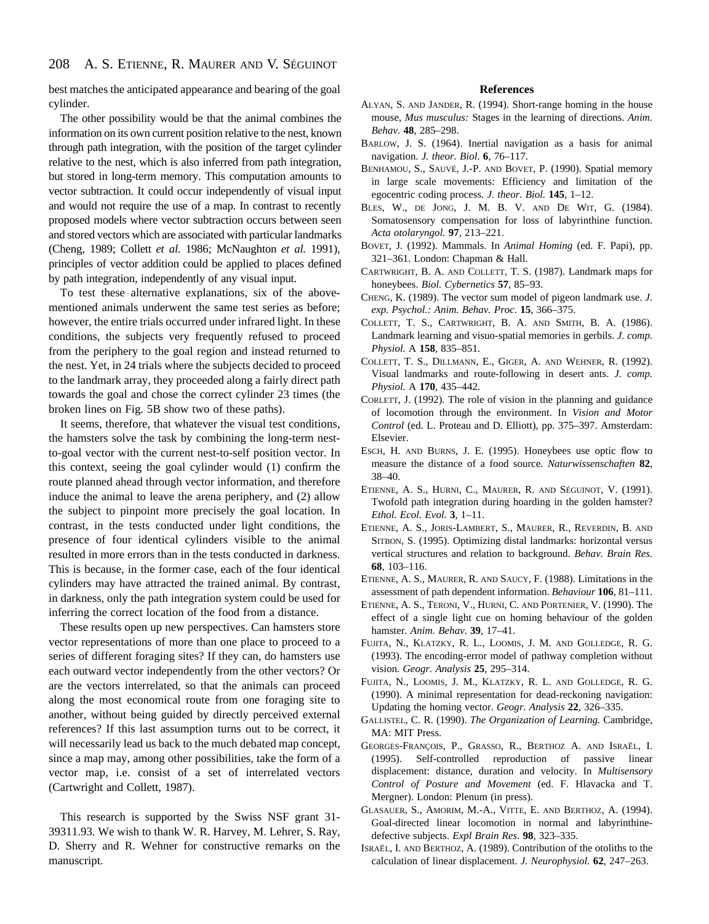best matches the anticipated appearance and bearing of the goal cylinder.

The other possibility would be that the animal combines the information on its own current position relative to the nest, known through path integration, with the position of the target cylinder relative to the nest, which is also inferred from path integration, but stored in long-term memory. This computation amounts to vector subtraction. It could occur independently of visual input and would not require the use of a map. In contrast to recently proposed models where vector subtraction occurs between seen and stored vectors which are associated with particular landmarks (Cheng, 1989; Collett *et al.* 1986; McNaughton *et al.* 1991), principles of vector addition could be applied to places defined by path integration, independently of any visual input.

To test these alternative explanations, six of the abovementioned animals underwent the same test series as before; however, the entire trials occurred under infrared light. In these conditions, the subjects very frequently refused to proceed from the periphery to the goal region and instead returned to the nest. Yet, in 24 trials where the subjects decided to proceed to the landmark array, they proceeded along a fairly direct path towards the goal and chose the correct cylinder 23 times (the broken lines on Fig. 5B show two of these paths).

It seems, therefore, that whatever the visual test conditions, the hamsters solve the task by combining the long-term nestto-goal vector with the current nest-to-self position vector. In this context, seeing the goal cylinder would (1) confirm the route planned ahead through vector information, and therefore induce the animal to leave the arena periphery, and (2) allow the subject to pinpoint more precisely the goal location. In contrast, in the tests conducted under light conditions, the presence of four identical cylinders visible to the animal resulted in more errors than in the tests conducted in darkness. This is because, in the former case, each of the four identical cylinders may have attracted the trained animal. By contrast, in darkness, only the path integration system could be used for inferring the correct location of the food from a distance.

These results open up new perspectives. Can hamsters store vector representations of more than one place to proceed to a series of different foraging sites? If they can, do hamsters use each outward vector independently from the other vectors? Or are the vectors interrelated, so that the animals can proceed along the most economical route from one foraging site to another, without being guided by directly perceived external references? If this last assumption turns out to be correct, it will necessarily lead us back to the much debated map concept, since a map may, among other possibilities, take the form of a vector map, i.e. consist of a set of interrelated vectors (Cartwright and Collett, 1987).

This research is supported by the Swiss NSF grant 31- 39311.93. We wish to thank W. R. Harvey, M. Lehrer, S. Ray, D. Sherry and R. Wehner for constructive remarks on the manuscript.

# **References**

- ALYAN, S. AND JANDER, R. (1994). Short-range homing in the house mouse, *Mus musculus:* Stages in the learning of directions. *Anim. Behav*. **48**, 285–298.
- BARLOW, J. S. (1964). Inertial navigation as a basis for animal navigation. *J. theor. Biol*. **6**, 76–117.
- BENHAMOU, S., SAUVÉ, J.-P. AND BOVET, P. (1990). Spatial memory in large scale movements: Efficiency and limitation of the egocentric coding process. *J. theor. Biol.* **145**, 1–12.
- BLES, W., DE JONG, J. M. B. V. AND DE WIT, G. (1984). Somatosensory compensation for loss of labyrinthine function. *Acta otolaryngol.* **97**, 213–221.
- BOVET, J. (1992). Mammals. In *Animal Homing* (ed. F. Papi), pp. 321–361. London: Chapman & Hall.
- CARTWRIGHT, B. A. AND COLLETT, T. S. (1987). Landmark maps for honeybees. *Biol. Cybernetics* **57**, 85–93.
- CHENG, K. (1989). The vector sum model of pigeon landmark use. *J. exp. Psychol.: Anim. Behav. Proc*. **15**, 366–375.
- COLLETT, T. S., CARTWRIGHT, B. A. AND SMITH, B. A. (1986). Landmark learning and visuo-spatial memories in gerbils. *J. comp. Physiol.* A **158**, 835–851.
- COLLETT, T. S., DILLMANN, E., GIGER, A. AND WEHNER, R. (1992). Visual landmarks and route-following in desert ants. *J. comp. Physiol.* A **170**, 435–442.
- CORLETT, J. (1992). The role of vision in the planning and guidance of locomotion through the environment. In *Vision and Motor Control* (ed. L. Proteau and D. Elliott), pp. 375–397. Amsterdam: Elsevier.
- ESCH, H. AND BURNS, J. E. (1995). Honeybees use optic flow to measure the distance of a food source. *Naturwissenschaften* **82**, 38–40.
- ETIENNE, A. S., HURNI, C., MAURER, R. AND SÉGUINOT, V. (1991). Twofold path integration during hoarding in the golden hamster? *Ethol. Ecol. Evol.* **3**, 1–11.
- ETIENNE, A. S., JORIS-LAMBERT, S., MAURER, R., REVERDIN, B. AND SITBON, S. (1995). Optimizing distal landmarks: horizontal versus vertical structures and relation to background. *Behav. Brain Res.* **68**, 103–116.
- ETIENNE, A. S., MAURER, R. AND SAUCY, F. (1988). Limitations in the assessment of path dependent information. *Behaviour* **106**, 81–111.
- ETIENNE, A. S., TERONI, V., HURNI, C. AND PORTENIER, V. (1990). The effect of a single light cue on homing behaviour of the golden hamster. *Anim. Behav*. **39**, 17–41.
- FUJITA, N., KLATZKY, R. L., LOOMIS, J. M. AND GOLLEDGE, R. G. (1993). The encoding-error model of pathway completion without vision. *Geogr. Analysis* **25**, 295–314.
- FUJITA, N., LOOMIS, J. M., KLATZKY, R. L. AND GOLLEDGE, R. G. (1990). A minimal representation for dead-reckoning navigation: Updating the homing vector. *Geogr. Analysis* **22**, 326–335.
- GALLISTEL, C. R. (1990). *The Organization of Learning.* Cambridge, MA: MIT Press.
- GEORGES-FRANÇOIS, P., GRASSO, R., BERTHOZ A. AND ISRAËL, I. (1995). Self-controlled reproduction of passive linear displacement: distance, duration and velocity. In *Multisensory Control of Posture and Movement* (ed. F. Hlavacka and T. Mergner). London: Plenum (in press).
- GLASAUER, S., AMORIM, M.-A., VITTE, E. AND BERTHOZ, A. (1994). Goal-directed linear locomotion in normal and labyrinthinedefective subjects. *Expl Brain Res*. **98**, 323–335.
- ISRAËL, I. AND BERTHOZ, A. (1989). Contribution of the otoliths to the calculation of linear displacement. *J. Neurophysiol.* **62**, 247–263.